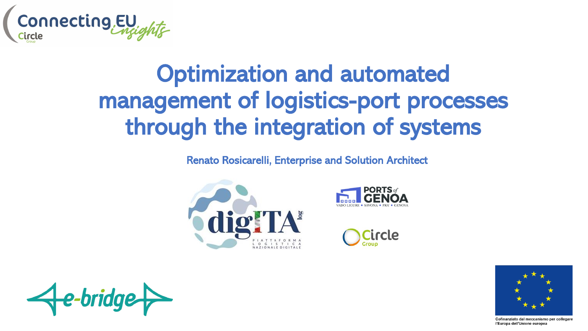

# Optimization and automated management of logistics-port processes through the integration of systems

Renato Rosicarelli, Enterprise and Solution Architect









Cofinanziato dal meccanismo per collegare l'Europa dell'Unione europea

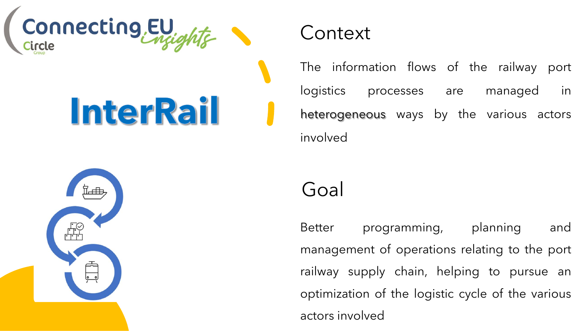

# **InterRail**

#### **Context**

The information flows of the railway port logistics processes are managed in heterogeneous ways by the various actors involved



### Goal

Better programming, planning and management of operations relating to the port railway supply chain, helping to pursue an optimization of the logistic cycle of the various actors involved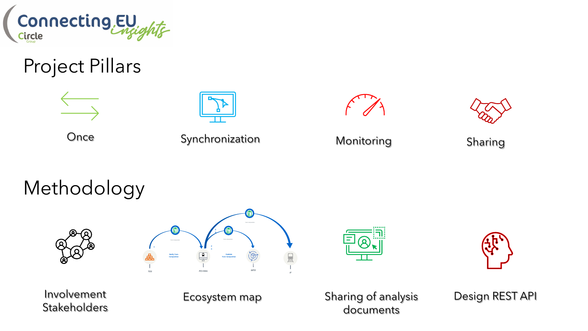

### Project Pillars

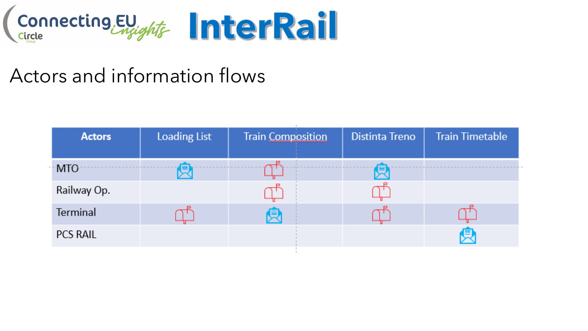

## Actors and information flows

| <b>Actors</b>   | <b>Loading List</b> | <b>Train Composition</b> | <b>Distinta Treno</b> | <b>Train Timetable</b> |
|-----------------|---------------------|--------------------------|-----------------------|------------------------|
| MTO             |                     |                          |                       |                        |
| Railway Op.     |                     |                          |                       |                        |
| Terminal        |                     |                          |                       |                        |
| <b>PCS RAIL</b> |                     |                          |                       | Ω                      |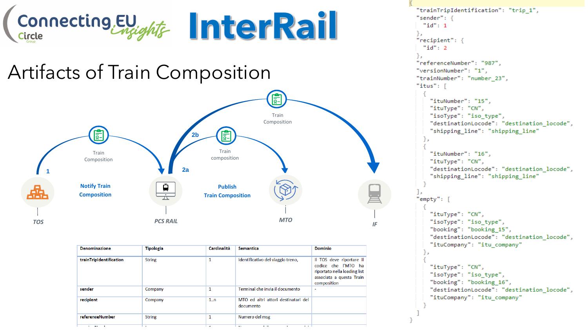

#### Artifacts of Train Composition



| <b>Denominazione</b>    | <b>Tipologia</b> | Cardinalità    | <b>Semantica</b>                                 | <b>Dominio</b>                                                                                                             |
|-------------------------|------------------|----------------|--------------------------------------------------|----------------------------------------------------------------------------------------------------------------------------|
| trainTripIdentification | <b>String</b>    | 1              | Identificativo del viaggio treno,                | Il TOS deve riportare il<br>codice che l'MTO ha<br>riportato nella loading list<br>associata a questa Train<br>composition |
| sender                  | Company          | 1              | Terminal che invia il documento                  | ۰                                                                                                                          |
| recipient               | Company          | 1n             | MTO ed altri attori destinatari del<br>documento |                                                                                                                            |
| referenceNumber         | <b>String</b>    | 1              | Numero del msg                                   |                                                                                                                            |
| .  .                    | . .              | $\overline{a}$ | . .<br>. .<br>$\cdots$                           |                                                                                                                            |

```
"trainTripIdentification": "trip 1",
"sender": {
 "id": 1
Ъ.
"recipient": {
 "id": 2
"referenceNumber": "987",
"versionNumber": "1",
"trainNumber": "number 23",
"itus": [
    "ituNumber": "15",
    "ituType": "CN",
    "isoType": "iso type",
    "destinationLocode": "destination locode",
    "shipping line": "shipping line"
    "ituNumber": "16",
    "ituType": "CN",
    "destinationLocode": "destination locode",
    "shipping line": "shipping line"
"empty": [
    "ituType": "CN",
    "isoType": "iso type",
    "booking": "booking 15",
    "destinationLocode": "destination locode",
    "ituCompany": "itu company"
    "ituType": "CN",
    "isoType": "iso type",
    "booking": "booking 16",
    "destinationLocode": "destination locode",
    "ituCompany": "itu company"
```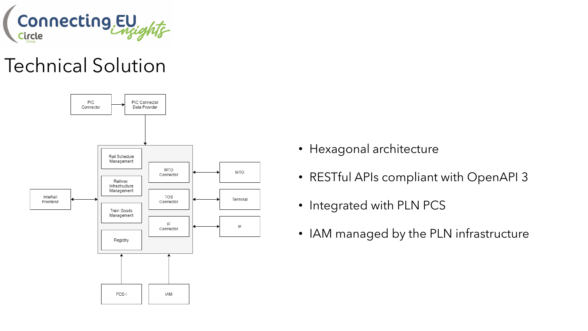

## Technical Solution



- Hexagonal architecture
- RESTful APIs compliant with OpenAPI 3
- Integrated with PLN PCS
- IAM managed by the PLN infrastructure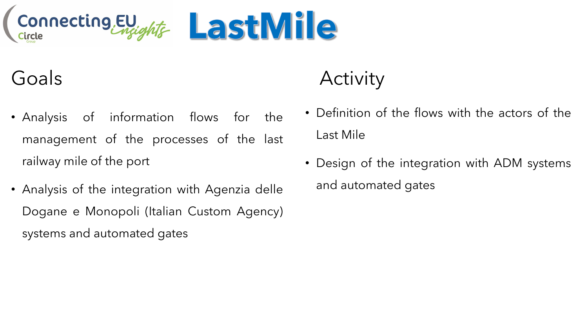

Goals

- Analysis of information flows for the management of the processes of the last railway mile of the port
- Analysis of the integration with Agenzia delle Dogane e Monopoli (Italian Custom Agency) systems and automated gates

# **Activity**

- Definition of the flows with the actors of the Last Mile
- Design of the integration with ADM systems and automated gates